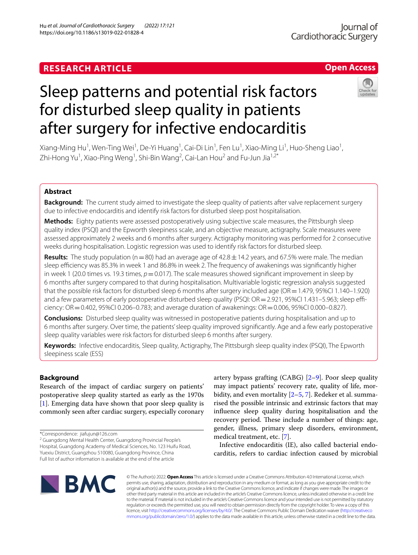# **RESEARCH ARTICLE**

# **Open Access**

# Sleep patterns and potential risk factors for disturbed sleep quality in patients after surgery for infective endocarditis



Xiang-Ming Hu<sup>1</sup>, Wen-Ting Wei<sup>1</sup>, De-Yi Huang<sup>1</sup>, Cai-Di Lin<sup>1</sup>, Fen Lu<sup>1</sup>, Xiao-Ming Li<sup>1</sup>, Huo-Sheng Liao<sup>1</sup>, Zhi-Hong Yu<sup>1</sup>, Xiao-Ping Weng<sup>1</sup>, Shi-Bin Wang<sup>2</sup>, Cai-Lan Hou<sup>2</sup> and Fu-Jun Jia<sup>1,2\*</sup>

# **Abstract**

**Background:** The current study aimed to investigate the sleep quality of patients after valve replacement surgery due to infective endocarditis and identify risk factors for disturbed sleep post hospitalisation.

**Methods:** Eighty patients were assessed postoperatively using subjective scale measures, the Pittsburgh sleep quality index (PSQI) and the Epworth sleepiness scale, and an objective measure, actigraphy. Scale measures were assessed approximately 2 weeks and 6 months after surgery. Actigraphy monitoring was performed for 2 consecutive weeks during hospitalisation. Logistic regression was used to identify risk factors for disturbed sleep.

**Results:** The study population ( $n=80$ ) had an average age of  $42.8 \pm 14.2$  years, and 67.5% were male. The median sleep efficiency was 85.3% in week 1 and 86.8% in week 2. The frequency of awakenings was significantly higher in week 1 (20.0 times vs. 19.3 times,  $p = 0.017$ ). The scale measures showed significant improvement in sleep by 6 months after surgery compared to that during hospitalisation. Multivariable logistic regression analysis suggested that the possible risk factors for disturbed sleep 6 months after surgery included age (OR = 1.479, 95%CI 1.140–1.920) and a few parameters of early postoperative disturbed sleep quality (PSQI:  $OR = 2.921$ , 95%CI 1.431–5.963; sleep efficiency: OR=0.402, 95%CI 0.206–0.783; and average duration of awakenings: OR=0.006, 95%CI 0.000–0.827).

**Conclusions:** Disturbed sleep quality was witnessed in postoperative patients during hospitalisation and up to 6 months after surgery. Over time, the patients' sleep quality improved signifcantly. Age and a few early postoperative sleep quality variables were risk factors for disturbed sleep 6 months after surgery.

**Keywords:** Infective endocarditis, Sleep quality, Actigraphy, The Pittsburgh sleep quality index (PSQI), The Epworth sleepiness scale (ESS)

# **Background**

Research of the impact of cardiac surgery on patients' postoperative sleep quality started as early as the 1970s [[1\]](#page-6-0). Emerging data have shown that poor sleep quality is commonly seen after cardiac surgery, especially coronary

\*Correspondence: jiafujun@126.com

<sup>2</sup> Guangdong Mental Health Center, Guangdong Provincial People's Hospital, Guangdong Academy of Medical Sciences, No. 123 Huifu Road, Yuexiu District, Guangzhou 510080, Guangdong Province, China Full list of author information is available at the end of the article

artery bypass grafting (CABG) [\[2](#page-6-1)–[9\]](#page-6-2). Poor sleep quality may impact patients' recovery rate, quality of life, morbidity, and even mortality [[2](#page-6-1)[–5](#page-6-3), [7\]](#page-6-4). Redeker et al. summarised the possible intrinsic and extrinsic factors that may infuence sleep quality during hospitalisation and the recovery period. These include a number of things: age, gender, illness, primary sleep disorders, environment, medical treatment, etc. [\[7](#page-6-4)].

Infective endocarditis (IE), also called bacterial endocarditis, refers to cardiac infection caused by microbial



© The Author(s) 2022. **Open Access** This article is licensed under a Creative Commons Attribution 4.0 International License, which permits use, sharing, adaptation, distribution and reproduction in any medium or format, as long as you give appropriate credit to the original author(s) and the source, provide a link to the Creative Commons licence, and indicate if changes were made. The images or other third party material in this article are included in the article's Creative Commons licence, unless indicated otherwise in a credit line to the material. If material is not included in the article's Creative Commons licence and your intended use is not permitted by statutory regulation or exceeds the permitted use, you will need to obtain permission directly from the copyright holder. To view a copy of this licence, visit [http://creativecommons.org/licenses/by/4.0/.](http://creativecommons.org/licenses/by/4.0/) The Creative Commons Public Domain Dedication waiver ([http://creativeco](http://creativecommons.org/publicdomain/zero/1.0/) [mmons.org/publicdomain/zero/1.0/](http://creativecommons.org/publicdomain/zero/1.0/)) applies to the data made available in this article, unless otherwise stated in a credit line to the data.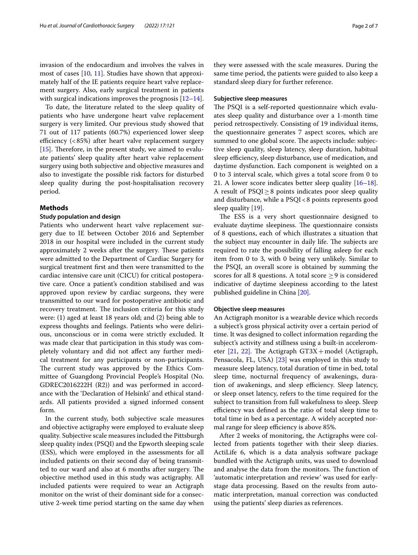invasion of the endocardium and involves the valves in most of cases [[10,](#page-6-5) [11\]](#page-6-6). Studies have shown that approximately half of the IE patients require heart valve replacement surgery. Also, early surgical treatment in patients with surgical indications improves the prognosis  $[12-14]$  $[12-14]$  $[12-14]$ .

To date, the literature related to the sleep quality of patients who have undergone heart valve replacement surgery is very limited. Our previous study showed that 71 out of 117 patients (60.7%) experienced lower sleep efficiency  $(< 85\%)$  after heart valve replacement surgery [[15\]](#page-6-9). Therefore, in the present study, we aimed to evaluate patients' sleep quality after heart valve replacement surgery using both subjective and objective measures and also to investigate the possible risk factors for disturbed sleep quality during the post-hospitalisation recovery period.

# **Methods**

# **Study population and design**

Patients who underwent heart valve replacement surgery due to IE between October 2016 and September 2018 in our hospital were included in the current study approximately 2 weeks after the surgery. These patients were admitted to the Department of Cardiac Surgery for surgical treatment frst and then were transmitted to the cardiac intensive care unit (CICU) for critical postoperative care. Once a patient's condition stabilised and was approved upon review by cardiac surgeons, they were transmitted to our ward for postoperative antibiotic and recovery treatment. The inclusion criteria for this study were: (1) aged at least 18 years old; and (2) being able to express thoughts and feelings. Patients who were delirious, unconscious or in coma were strictly excluded. It was made clear that participation in this study was completely voluntary and did not afect any further medical treatment for any participants or non-participants. The current study was approved by the Ethics Committee of Guangdong Provincial People's Hospital (No. GDREC2016222H (R2)) and was performed in accordance with the 'Declaration of Helsinki' and ethical standards. All patients provided a signed informed consent form.

In the current study, both subjective scale measures and objective actigraphy were employed to evaluate sleep quality. Subjective scale measures included the Pittsburgh sleep quality index (PSQI) and the Epworth sleeping scale (ESS), which were employed in the assessments for all included patients on their second day of being transmitted to our ward and also at 6 months after surgery. The objective method used in this study was actigraphy. All included patients were required to wear an Actigraph monitor on the wrist of their dominant side for a consecutive 2-week time period starting on the same day when they were assessed with the scale measures. During the same time period, the patients were guided to also keep a standard sleep diary for further reference.

# **Subjective sleep measures**

The PSQI is a self-reported questionnaire which evaluates sleep quality and disturbance over a 1-month time period retrospectively. Consisting of 19 individual items, the questionnaire generates 7 aspect scores, which are summed to one global score. The aspects include: subjective sleep quality, sleep latency, sleep duration, habitual sleep efficiency, sleep disturbance, use of medication, and daytime dysfunction. Each component is weighted on a 0 to 3 interval scale, which gives a total score from 0 to 21. A lower score indicates better sleep quality [[16](#page-6-10)[–18](#page-6-11)]. A result of  $PSQI \geq 8$  points indicates poor sleep quality and disturbance, while a PSQI<8 points represents good sleep quality [\[19](#page-6-12)].

The ESS is a very short questionnaire designed to evaluate daytime sleepiness. The questionnaire consists of 8 questions, each of which illustrates a situation that the subject may encounter in daily life. The subjects are required to rate the possibility of falling asleep for each item from 0 to 3, with 0 being very unlikely. Similar to the PSQI, an overall score is obtained by summing the scores for all 8 questions. A total score  $\geq$  9 is considered indicative of daytime sleepiness according to the latest published guideline in China [\[20](#page-6-13)].

### **Objective sleep measures**

An Actigraph monitor is a wearable device which records a subject's gross physical activity over a certain period of time. It was designed to collect information regarding the subject's activity and stillness using a built-in accelerometer  $[21, 22]$  $[21, 22]$  $[21, 22]$  $[21, 22]$ . The Actigraph GT3X + model (Actigraph, Pensacola, FL, USA) [\[23](#page-6-16)] was employed in this study to measure sleep latency, total duration of time in bed, total sleep time, nocturnal frequency of awakenings, duration of awakenings, and sleep efficiency. Sleep latency, or sleep onset latency, refers to the time required for the subject to transition from full wakefulness to sleep. Sleep efficiency was defined as the ratio of total sleep time to total time in bed as a percentage. A widely accepted normal range for sleep efficiency is above 85%.

After 2 weeks of monitoring, the Actigraphs were collected from patients together with their sleep diaries. ActiLife 6, which is a data analysis software package bundled with the Actigraph units, was used to download and analyse the data from the monitors. The function of 'automatic interpretation and review' was used for earlystage data processing. Based on the results from automatic interpretation, manual correction was conducted using the patients' sleep diaries as references.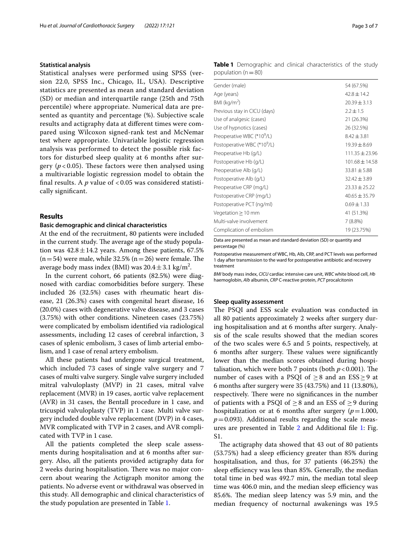## **Statistical analysis**

Statistical analyses were performed using SPSS (version 22.0, SPSS Inc., Chicago, IL, USA). Descriptive statistics are presented as mean and standard deviation (SD) or median and interquartile range (25th and 75th percentile) where appropriate. Numerical data are presented as quantity and percentage (%). Subjective scale results and actigraphy data at diferent times were compared using Wilcoxon signed-rank test and McNemar test where appropriate. Univariable logistic regression analysis was performed to detect the possible risk factors for disturbed sleep quality at 6 months after surgery  $(p<0.05)$ . These factors were then analysed using a multivariable logistic regression model to obtain the final results. A  $p$  value of  $< 0.05$  was considered statistically signifcant.

#### **Results**

#### **Basic demographic and clinical characteristics**

At the end of the recruitment, 80 patients were included in the current study. The average age of the study population was  $42.8 \pm 14.2$  years. Among these patients, 67.5%  $(n=54)$  were male, while 32.5%  $(n=26)$  were female. The average body mass index (BMI) was  $20.4 \pm 3.1$  kg/m<sup>2</sup>.

In the current cohort, 66 patients (82.5%) were diagnosed with cardiac comorbidities before surgery. These included 26 (32.5%) cases with rheumatic heart disease, 21 (26.3%) cases with congenital heart disease, 16 (20.0%) cases with degenerative valve disease, and 3 cases (3.75%) with other conditions. Nineteen cases (23.75%) were complicated by embolism identifed via radiological assessments, including 12 cases of cerebral infarction, 3 cases of splenic embolism, 3 cases of limb arterial embolism, and 1 case of renal artery embolism.

All these patients had undergone surgical treatment, which included 73 cases of single valve surgery and 7 cases of multi valve surgery. Single valve surgery included mitral valvuloplasty (MVP) in 21 cases, mitral valve replacement (MVR) in 19 cases, aortic valve replacement (AVR) in 31 cases, the Bentall procedure in 1 case, and tricuspid valvuloplasty (TVP) in 1 case. Multi valve surgery included double valve replacement (DVP) in 4 cases, MVR complicated with TVP in 2 cases, and AVR complicated with TVP in 1 case.

All the patients completed the sleep scale assessments during hospitalisation and at 6 months after surgery. Also, all the patients provided actigraphy data for 2 weeks during hospitalisation. There was no major concern about wearing the Actigraph monitor among the patients. No adverse event or withdrawal was observed in this study. All demographic and clinical characteristics of the study population are presented in Table [1.](#page-2-0)

<span id="page-2-0"></span>**Table 1** Demographic and clinical characteristics of the study population  $(n=80)$ 

| Gender (male)                           | 54 (67.5%)         |
|-----------------------------------------|--------------------|
| Age (years)                             | $42.8 + 14.2$      |
| BMI ( $kg/m2$ )                         | $20.39 \pm 3.13$   |
| Previous stay in CICU (days)            | $2.2 \pm 1.5$      |
| Use of analgesic (cases)                | 21 (26.3%)         |
| Use of hypnotics (cases)                | 26 (32.5%)         |
| Preoperative WBC (*10 <sup>9</sup> /L)  | $8.42 \pm 3.81$    |
| Postoperative WBC (*10 <sup>9</sup> /L) | $19.39 \pm 8.69$   |
| Preoperative Hb (g/L)                   | $111.35 \pm 23.96$ |
| Postoperative Hb (g/L)                  | $101.68 \pm 14.58$ |
| Preoperative Alb (g/L)                  | $33.81 + 5.88$     |
| Postoperative Alb (g/L)                 | $32.42 + 3.89$     |
| Preoperative CRP (mg/L)                 | $23.33 \pm 25.22$  |
| Postoperative CRP (mg/L)                | $40.65 \pm 35.79$  |
| Postoperative PCT (ng/ml)               | $0.69 \pm 1.33$    |
| Vegetation $\geq 10$ mm                 | 41 (51.3%)         |
| Multi-valve involvement                 | 7(8.8%)            |
| Complication of embolism                | 19 (23.75%)        |
|                                         |                    |

Data are presented as mean and standard deviation (SD) or quantity and percentage (%)

Postoperative measurement of WBC, Hb, Alb, CRP, and PCT levels was performed 1 day after transmission to the ward for postoperative antibiotic and recovery treatment

*BMI* body mass index, *CICU* cardiac intensive care unit, *WBC* white blood cell, *Hb* haemoglobin, *Alb* albumin, *CRP* C-reactive protein, *PCT* procalcitonin

# **Sleep quality assessment**

The PSQI and ESS scale evaluation was conducted in all 80 patients approximately 2 weeks after surgery during hospitalisation and at 6 months after surgery. Analysis of the scale results showed that the median scores of the two scales were 6.5 and 5 points, respectively, at 6 months after surgery. These values were significantly lower than the median scores obtained during hospitalisation, which were both 7 points (both  $p < 0.001$ ). The number of cases with a PSQI of  $\geq 8$  and an ESS $\geq 9$  at 6 months after surgery were 35 (43.75%) and 11 (13.80%), respectively. There were no significances in the number of patients with a PSQI of  $\geq$ 8 and an ESS of  $\geq$ 9 during hospitalization or at 6 months after surgery  $(p=1.000,$  $p=0.093$ ). Additional results regarding the scale measures are presented in Table [2](#page-3-0) and Additional fle [1](#page-5-0): Fig. S1.

The actigraphy data showed that 43 out of 80 patients  $(53.75%)$  had a sleep efficiency greater than 85% during hospitalisation, and thus, for 37 patients (46.25%) the sleep efficiency was less than 85%. Generally, the median total time in bed was 492.7 min, the median total sleep time was 406.0 min, and the median sleep efficiency was 85.6%. The median sleep latency was 5.9 min, and the median frequency of nocturnal awakenings was 19.5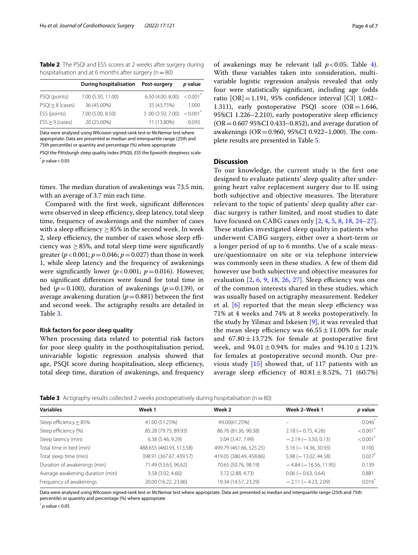<span id="page-3-0"></span>**Table 2** The PSQI and ESS scores at 2 weeks after surgery during hospitalisation and at 6 months after surgery ( $n=80$ )

|                    | <b>During hospitalisation</b> | Post-surgery      | p value                |
|--------------------|-------------------------------|-------------------|------------------------|
| PSQI (points)      | 7.00 (5.50, 11.00)            | 6.50 (4.00, 8.00) | $< 0.001$ <sup>*</sup> |
| $PSQI > 8$ (cases) | 36 (45.00%)                   | 35 (43.75%)       | 1.000                  |
| ESS (points)       | 7.00 (5.00, 8.50)             | 5.00 (3.50, 7.00) | $< 0.001$ <sup>*</sup> |
| $ESS > 9$ (cases)  | 20 (25.00%)                   | 11 (13.80%)       | 0.093                  |

Data were analysed using Wilcoxon signed-rank test or McNemar test where appropriate. Data are presented as median and interquartile range (25th and 75th percentile) or quantity and percentage (%) where appropriate

*PSQI* the Pittsburgh sleep quality index (PSQI), *ESS* the Epworth sleepiness scale  $*$  *p* value < 0.05

times. The median duration of awakenings was 73.5 min, with an average of 3.7 min each time.

Compared with the frst week, signifcant diferences were observed in sleep efficiency, sleep latency, total sleep time, frequency of awakenings and the number of cases with a sleep efficiency  $\geq$  85% in the second week. In week 2, sleep efficiency, the number of cases whose sleep efficiency was  $\geq$  85%, and total sleep time were significantly greater ( $p < 0.001$ ;  $p = 0.046$ ;  $p = 0.027$ ) than those in week 1, while sleep latency and the frequency of awakenings were significantly lower ( $p < 0.001$ ;  $p = 0.016$ ). However, no signifcant diferences were found for total time in bed ( $p=0.100$ ), duration of awakenings ( $p=0.139$ ), or average awakening duration  $(p=0.881)$  between the first and second week. The actigraphy results are detailed in Table [3](#page-3-1).

## **Risk factors for poor sleep quality**

When processing data related to potential risk factors for poor sleep quality in the posthospitalisation period, univariable logistic regression analysis showed that age, PSQI score during hospitalisation, sleep efficiency, total sleep time, duration of awakenings, and frequency

of awakenings may be relevant (all  $p < 0.05$ ; Table [4](#page-4-0)). With these variables taken into consideration, multivariable logistic regression analysis revealed that only four were statistically signifcant, including age (odds ratio [OR]=1.191, 95% confdence interval [CI] 1.082– 1.311), early postoperative PSQI score  $(OR = 1.646,$ 95%CI 1.226-2.210), early postoperative sleep efficiency  $(OR = 0.607 95\% CI 0.433 - 0.852)$ , and average duration of awakenings ( $OR = 0.960$ , 95%CI 0.922-1.000). The complete results are presented in Table [5.](#page-4-1)

# **Discussion**

To our knowledge, the current study is the frst one designed to evaluate patients' sleep quality after undergoing heart valve replacement surgery due to IE using both subjective and objective measures. The literature relevant to the topic of patients' sleep quality after cardiac surgery is rather limited, and most studies to date have focused on CABG cases only [[2,](#page-6-1) [4,](#page-6-17) [5](#page-6-3), [8](#page-6-18), [18](#page-6-11), [24–](#page-6-19)[27\]](#page-6-20). These studies investigated sleep quality in patients who underwent CABG surgery, either over a short-term or a longer period of up to 6 months. Use of a scale measure/questionnaire on site or via telephone interview was commonly seen in these studies. A few of them did however use both subjective and objective measures for evaluation  $[2, 6, 9, 18, 26, 27]$  $[2, 6, 9, 18, 26, 27]$  $[2, 6, 9, 18, 26, 27]$  $[2, 6, 9, 18, 26, 27]$  $[2, 6, 9, 18, 26, 27]$  $[2, 6, 9, 18, 26, 27]$  $[2, 6, 9, 18, 26, 27]$  $[2, 6, 9, 18, 26, 27]$  $[2, 6, 9, 18, 26, 27]$  $[2, 6, 9, 18, 26, 27]$  $[2, 6, 9, 18, 26, 27]$  $[2, 6, 9, 18, 26, 27]$  $[2, 6, 9, 18, 26, 27]$ . Sleep efficiency was one of the common interests shared in these studies, which was usually based on actigraphy measurement. Redeker et al.  $[6]$  $[6]$  $[6]$  reported that the mean sleep efficiency was 71% at 4 weeks and 74% at 8 weeks postoperatively. In the study by Yilmaz and Iskesen [[9](#page-6-2)], it was revealed that the mean sleep efficiency was  $66.55 \pm 11.00\%$  for male and  $67.80 \pm 13.72\%$  for female at postoperative first week, and  $94.01 \pm 0.94\%$  for males and  $94.10 \pm 1.21\%$ for females at postoperative second month. Our previous study [[15\]](#page-6-9) showed that, of 117 patients with an average sleep efficiency of  $80.81 \pm 8.52$ %, 71 (60.7%)

<span id="page-3-1"></span>**Table 3** Actigraphy results collected 2 weeks postoperatively during hospitalisation (n=80)

| <b>Variables</b>                 | Week 2<br>Week 1         |                         | Week 2-Week 1               | p value   |
|----------------------------------|--------------------------|-------------------------|-----------------------------|-----------|
| Sleep efficiency $\geq$ 85%      | 41.00 (51.25%)           | 49.00(61.25%)           |                             | $0.046*$  |
| Sleep efficiency (%)             | 85.28 (79.75, 89.93)     | 86.76 (81.36, 90.38)    | $2.18 (-0.75, 4.26)$        | < 0.001   |
| Sleep latency (min)              | 6.38(5.46, 9.29)         | 5.04 (3.47, 7.99)       | $-2.19(-3.50, 0.13)$        | < 0.001   |
| Total time in bed (min)          | 488.655 (460.93, 513.58) | 499.79 (461.66, 525.25) | $5.16$ ( $-14.36$ , 30.93)  | 0.100     |
| Total sleep time (min)           | 398.91 (367.67, 439.57)  | 419.05 (380.49, 458.86) | $5.98 (-13.02, 44.58)$      | 0.027     |
| Duration of awakenings (min)     | 71.49 (53.63, 96.62)     | 70.65 (50.76, 98.19)    | $-4.84$ ( $-16.56$ , 11.95) | 0.139     |
| Average awakening duration (min) | 3.58 (3.02, 4.60)        | 3.72 (2.88, 4.73)       | $0.06 (-0.63, 0.64)$        | 0.881     |
| Frequency of awakenings          | 20.00 (16.22, 23.86)     | 19.34 (14.57, 23.29)    | $-2.11 (-4.23, 2.09)$       | $0.016^*$ |

Data were analysed using Wilcoxon signed-rank test or McNemar test where appropriate. Data are presented as median and interquartile range (25th and 75th percentile) or quantity and percentage (%) where appropriate

*p* value < 0.05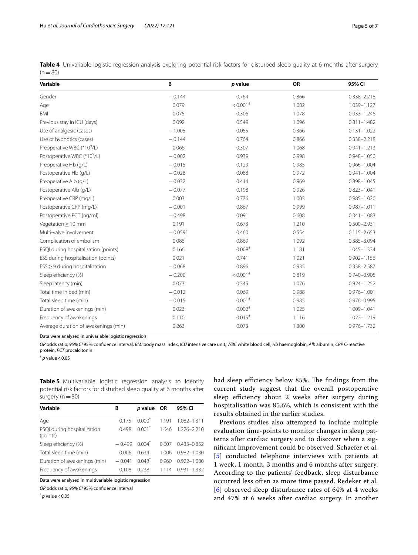<span id="page-4-0"></span>

|          | Table 4 Univariable logistic regression analysis exploring potential risk factors for disturbed sleep quality at 6 months after surgery |  |  |  |  |
|----------|-----------------------------------------------------------------------------------------------------------------------------------------|--|--|--|--|
| $(n=80)$ |                                                                                                                                         |  |  |  |  |

| Variable                                | B         | p value              | OR    | 95% CI          |
|-----------------------------------------|-----------|----------------------|-------|-----------------|
| Gender                                  | $-0.144$  | 0.764                | 0.866 | 0.338-2.218     |
| Age                                     | 0.079     | $< 0.001$ #          | 1.082 | 1.039-1.127     |
| <b>BMI</b>                              | 0.075     | 0.306                | 1.078 | $0.933 - 1.246$ |
| Previous stay in ICU (days)             | 0.092     | 0.549                | 1.096 | $0.811 - 1.482$ |
| Use of analgesic (cases)                | $-1.005$  | 0.055                | 0.366 | $0.131 - 1.022$ |
| Use of hypnotics (cases)                | $-0.144$  | 0.764                | 0.866 | $0.338 - 2.218$ |
| Preoperative WBC (*10 <sup>9</sup> /L)  | 0.066     | 0.307                | 1.068 | $0.941 - 1.213$ |
| Postoperative WBC (*10 <sup>9</sup> /L) | $-0.002$  | 0.939                | 0.998 | $0.948 - 1.050$ |
| Preoperative Hb (g/L)                   | $-0.015$  | 0.129                | 0.985 | $0.966 - 1.004$ |
| Postoperative Hb (g/L)                  | $-0.028$  | 0.088                | 0.972 | $0.941 - 1.004$ |
| Preoperative Alb (g/L)                  | $-0.032$  | 0.414                | 0.969 | $0.898 - 1.045$ |
| Postoperative Alb (q/L)                 | $-0.077$  | 0.198                | 0.926 | $0.823 - 1.041$ |
| Preoperative CRP (mg/L)                 | 0.003     | 0.776                | 1.003 | $0.985 - 1.020$ |
| Postoperative CRP (mg/L)                | $-0.001$  | 0.867                | 0.999 | $0.987 - 1.011$ |
| Postoperative PCT (ng/ml)               | $-0.498$  | 0.091                | 0.608 | $0.341 - 1.083$ |
| Vegetation > 10 mm                      | 0.191     | 0.673                | 1.210 | $0.500 - 2.931$ |
| Multi-valve involvement                 | $-0.0591$ | 0.460                | 0.554 | $0.115 - 2.653$ |
| Complication of embolism                | 0.088     | 0.869                | 1.092 | $0.385 - 3.094$ |
| PSQI during hospitalisation (points)    | 0.166     | $0.008$ #            | 1.181 | 1.045-1.334     |
| ESS during hospitalisation (points)     | 0.021     | 0.741                | 1.021 | $0.902 - 1.156$ |
| $ESS \geq 9$ during hospitalization     | $-0.068$  | 0.896                | 0.935 | 0.338-2.587     |
| Sleep efficiency (%)                    | $-0.200$  | $< 0.001$ #          | 0.819 | $0.740 - 0.905$ |
| Sleep latency (min)                     | 0.073     | 0.345                | 1.076 | $0.924 - 1.252$ |
| Total time in bed (min)                 | $-0.012$  | 0.069                | 0.988 | $0.976 - 1.001$ |
| Total sleep time (min)                  | $-0.015$  | $0.001$ #            | 0.985 | 0.976-0.995     |
| Duration of awakenings (min)            | 0.023     | $0.002$ #            | 1.025 | 1.009-1.041     |
| Frequency of awakenings                 | 0.110     | $0.015$ <sup>#</sup> | 1.116 | 1.022-1.219     |
| Average duration of awakenings (min)    | 0.263     | 0.073                | 1.300 | 0.976-1.732     |

Data were analysed in univariable logistic regression

*OR* odds ratio, *95% CI* 95% confdence interval, *BMI* body mass index, *ICU* intensive care unit, *WBC* white blood cell, *Hb* haemoglobin, *Alb* albumin, *CRP* C-reactive protein, *PCT* procalcitonin

# *p* value<0.05

<span id="page-4-1"></span>**Table 5** Multivariable logistic regression analysis to identify potential risk factors for disturbed sleep quality at 6 months after surgery  $(n=80)$ 

| Variable                                | В        | <i>p</i> value OR |       | 95% CI          |
|-----------------------------------------|----------|-------------------|-------|-----------------|
| Age                                     | 0.175    | $0.000^*$         | 1.191 | 1.082-1.311     |
| PSQI during hospitalization<br>(points) | 0.498    | $0.001^*$         | 1.646 | 1.226-2.210     |
| Sleep efficiency (%)                    | $-0.499$ | $0.004^*$         | 0.607 | $0.433 - 0.852$ |
| Total sleep time (min)                  | 0.006    | 0.634             | 1.006 | $0.982 - 1.030$ |
| Duration of awakenings (min)            | $-0.041$ | $0.048^{*}$       | 0.960 | $0.922 - 1.000$ |
| Frequency of awakenings                 | 0.108    | 0.238             | 1.114 | $0.931 - 1.332$ |
|                                         |          |                   |       |                 |

Data were analysed in multivariable logistic regression

*OR* odds ratio, *95% CI* 95% confdence interval

 $p$  value < 0.05

had sleep efficiency below 85%. The findings from the current study suggest that the overall postoperative sleep efficiency about 2 weeks after surgery during hospitalisation was 85.6%, which is consistent with the results obtained in the earlier studies.

Previous studies also attempted to include multiple evaluation time-points to monitor changes in sleep patterns after cardiac surgery and to discover when a signifcant improvement could be observed. Schaefer et al. [[5](#page-6-3)] conducted telephone interviews with patients at 1 week, 1 month, 3 months and 6 months after surgery. According to the patients' feedback, sleep disturbance occurred less often as more time passed. Redeker et al. [[6](#page-6-21)] observed sleep disturbance rates of 64% at 4 weeks and 47% at 6 weeks after cardiac surgery. In another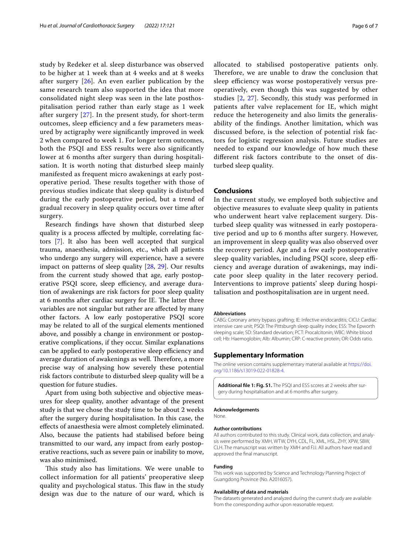study by Redeker et al. sleep disturbance was observed to be higher at 1 week than at 4 weeks and at 8 weeks after surgery [\[26\]](#page-6-22). An even earlier publication by the same research team also supported the idea that more consolidated night sleep was seen in the late posthospitalisation period rather than early stage as 1 week after surgery [[27\]](#page-6-20). In the present study, for short-term outcomes, sleep efficiency and a few parameters measured by actigraphy were signifcantly improved in week 2 when compared to week 1. For longer term outcomes, both the PSQI and ESS results were also signifcantly lower at 6 months after surgery than during hospitalisation. It is worth noting that disturbed sleep mainly manifested as frequent micro awakenings at early postoperative period. These results together with those of previous studies indicate that sleep quality is disturbed during the early postoperative period, but a trend of gradual recovery in sleep quality occurs over time after surgery.

Research fndings have shown that disturbed sleep quality is a process afected by multiple, correlating factors [\[7](#page-6-4)]. It also has been well accepted that surgical trauma, anaesthesia, admission, etc., which all patients who undergo any surgery will experience, have a severe impact on patterns of sleep quality [\[28](#page-6-23), [29](#page-6-24)]. Our results from the current study showed that age, early postoperative PSQI score, sleep efficiency, and average duration of awakenings are risk factors for poor sleep quality at 6 months after cardiac surgery for IE. The latter three variables are not singular but rather are afected by many other factors. A low early postoperative PSQI score may be related to all of the surgical elements mentioned above, and possibly a change in environment or postoperative complications, if they occur. Similar explanations can be applied to early postoperative sleep efficiency and average duration of awakenings as well. Therefore, a more precise way of analysing how severely these potential risk factors contribute to disturbed sleep quality will be a question for future studies.

Apart from using both subjective and objective measures for sleep quality, another advantage of the present study is that we chose the study time to be about 2 weeks after the surgery during hospitalisation. In this case, the efects of anaesthesia were almost completely eliminated. Also, because the patients had stabilised before being transmitted to our ward, any impact from early postoperative reactions, such as severe pain or inability to move, was also minimised.

This study also has limitations. We were unable to collect information for all patients' preoperative sleep quality and psychological status. This flaw in the study design was due to the nature of our ward, which is allocated to stabilised postoperative patients only. Therefore, we are unable to draw the conclusion that sleep efficiency was worse postoperatively versus preoperatively, even though this was suggested by other studies [\[2](#page-6-1), [27\]](#page-6-20). Secondly, this study was performed in patients after valve replacement for IE, which might reduce the heterogeneity and also limits the generalisability of the fndings. Another limitation, which was discussed before, is the selection of potential risk factors for logistic regression analysis. Future studies are needed to expand our knowledge of how much these diferent risk factors contribute to the onset of disturbed sleep quality.

# **Conclusions**

In the current study, we employed both subjective and objective measures to evaluate sleep quality in patients who underwent heart valve replacement surgery. Disturbed sleep quality was witnessed in early postoperative period and up to 6 months after surgery. However, an improvement in sleep quality was also observed over the recovery period. Age and a few early postoperative sleep quality variables, including PSQI score, sleep efficiency and average duration of awakenings, may indicate poor sleep quality in the later recovery period. Interventions to improve patients' sleep during hospitalisation and posthospitalisation are in urgent need.

#### **Abbreviations**

CABG: Coronary artery bypass grafting; IE: Infective endocarditis; CICU: Cardiac intensive care unit; PSQI: The Pittsburgh sleep quality index; ESS: The Epworth sleeping scale; SD: Standard deviation; PCT: Procalcitonin; WBC: White blood cell; Hb: Haemoglobin; Alb: Albumin; CRP: C-reactive protein; OR: Odds ratio.

# **Supplementary Information**

The online version contains supplementary material available at [https://doi.](https://doi.org/10.1186/s13019-022-01828-4) [org/10.1186/s13019-022-01828-4](https://doi.org/10.1186/s13019-022-01828-4).

<span id="page-5-0"></span>Additional file 1: Fig. S1. The PSQI and ESS scores at 2 weeks after surgery during hospitalisation and at 6 months after surgery.

#### **Acknowledgements**

None.

# **Author contributions**

All authors contributed to this study. Clinical work, data collection, and analysis were performed by XMH, WTW, DYH, CDL, FL, XML, HSL, ZHY, XPW, SBW, CLH. The manuscript was written by XMH and FJJ. All authors have read and approved the fnal manuscript.

#### **Funding**

This work was supported by Science and Technology Planning Project of Guangdong Province (No. A2016057).

#### **Availability of data and materials**

The datasets generated and analyzed during the current study are available from the corresponding author upon reasonable request.